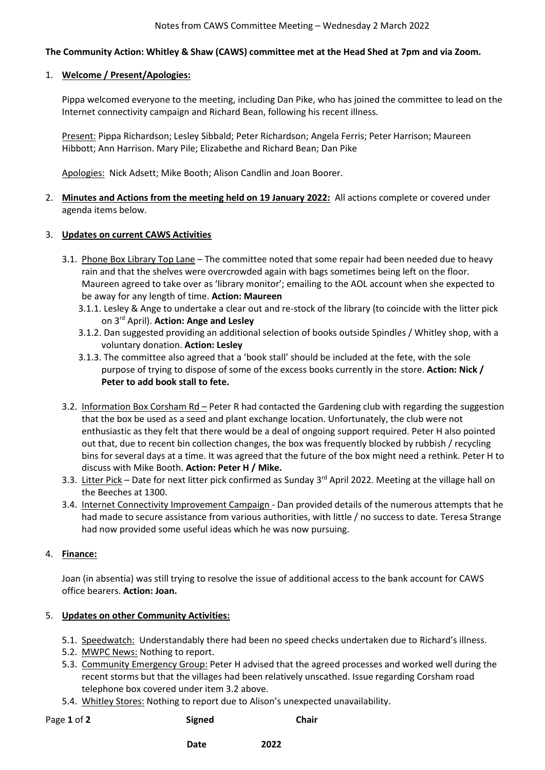#### **The Community Action: Whitley & Shaw (CAWS) committee met at the Head Shed at 7pm and via Zoom.**

#### 1. **Welcome / Present/Apologies:**

Pippa welcomed everyone to the meeting, including Dan Pike, who has joined the committee to lead on the Internet connectivity campaign and Richard Bean, following his recent illness.

Present: Pippa Richardson; Lesley Sibbald; Peter Richardson; Angela Ferris; Peter Harrison; Maureen Hibbott; Ann Harrison. Mary Pile; Elizabethe and Richard Bean; Dan Pike

Apologies: Nick Adsett; Mike Booth; Alison Candlin and Joan Boorer.

2. **Minutes and Actions from the meeting held on 19 January 2022:** All actions complete or covered under agenda items below.

#### 3. **Updates on current CAWS Activities**

- 3.1. Phone Box Library Top Lane The committee noted that some repair had been needed due to heavy rain and that the shelves were overcrowded again with bags sometimes being left on the floor. Maureen agreed to take over as 'library monitor'; emailing to the AOL account when she expected to be away for any length of time. **Action: Maureen**
	- 3.1.1. Lesley & Ange to undertake a clear out and re-stock of the library (to coincide with the litter pick on 3rd April). **Action: Ange and Lesley**
	- 3.1.2. Dan suggested providing an additional selection of books outside Spindles / Whitley shop, with a voluntary donation. **Action: Lesley**
	- 3.1.3. The committee also agreed that a 'book stall' should be included at the fete, with the sole purpose of trying to dispose of some of the excess books currently in the store. **Action: Nick / Peter to add book stall to fete.**
- 3.2. Information Box Corsham Rd Peter R had contacted the Gardening club with regarding the suggestion that the box be used as a seed and plant exchange location. Unfortunately, the club were not enthusiastic as they felt that there would be a deal of ongoing support required. Peter H also pointed out that, due to recent bin collection changes, the box was frequently blocked by rubbish / recycling bins for several days at a time. It was agreed that the future of the box might need a rethink. Peter H to discuss with Mike Booth. **Action: Peter H / Mike.**
- 3.3. Litter Pick Date for next litter pick confirmed as Sunday 3<sup>rd</sup> April 2022. Meeting at the village hall on the Beeches at 1300.
- 3.4. Internet Connectivity Improvement Campaign Dan provided details of the numerous attempts that he had made to secure assistance from various authorities, with little / no success to date. Teresa Strange had now provided some useful ideas which he was now pursuing.

#### 4. **Finance:**

Joan (in absentia) was still trying to resolve the issue of additional access to the bank account for CAWS office bearers. **Action: Joan.** 

# 5. **Updates on other Community Activities:**

- 5.1. Speedwatch: Understandably there had been no speed checks undertaken due to Richard's illness.
- 5.2. MWPC News: Nothing to report.
- 5.3. Community Emergency Group: Peter H advised that the agreed processes and worked well during the recent storms but that the villages had been relatively unscathed. Issue regarding Corsham road telephone box covered under item 3.2 above.
- 5.4. Whitley Stores: Nothing to report due to Alison's unexpected unavailability.

Page 1 of 2 **Signed** Chair

**Date** 2022